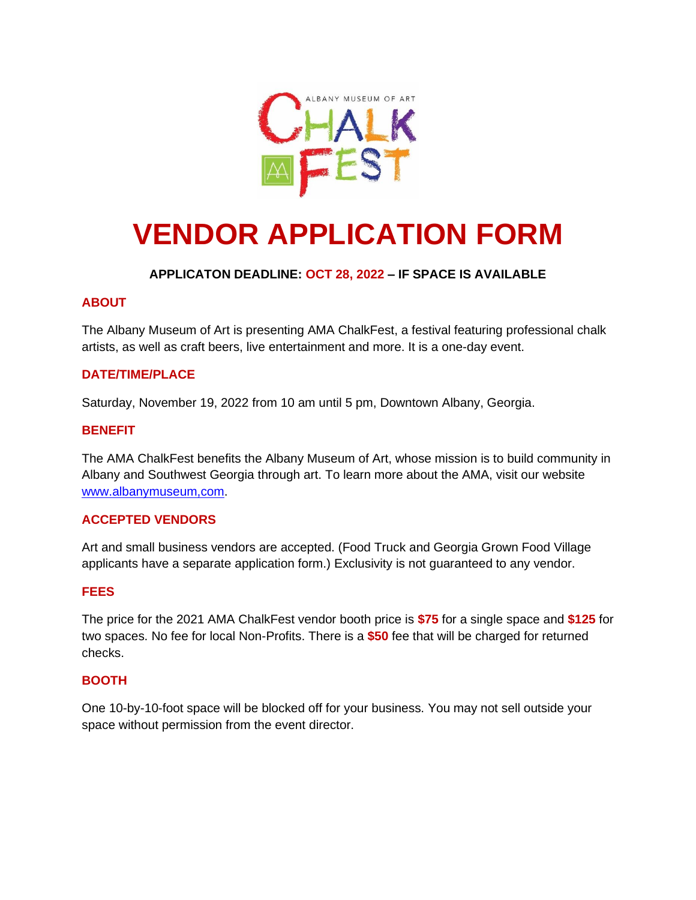

# **VENDOR APPLICATION FORM**

# **APPLICATON DEADLINE: OCT 28, 2022 – IF SPACE IS AVAILABLE**

# **ABOUT**

The Albany Museum of Art is presenting AMA ChalkFest, a festival featuring professional chalk artists, as well as craft beers, live entertainment and more. It is a one-day event.

# **DATE/TIME/PLACE**

Saturday, November 19, 2022 from 10 am until 5 pm, Downtown Albany, Georgia.

### **BENEFIT**

The AMA ChalkFest benefits the Albany Museum of Art, whose mission is to build community in Albany and Southwest Georgia through art. To learn more about the AMA, visit our website [www.albanymuseum,com.](http://www.albanymuseum,com/)

#### **ACCEPTED VENDORS**

Art and small business vendors are accepted. (Food Truck and Georgia Grown Food Village applicants have a separate application form.) Exclusivity is not guaranteed to any vendor.

#### **FEES**

The price for the 2021 AMA ChalkFest vendor booth price is **\$75** for a single space and **\$125** for two spaces. No fee for local Non-Profits. There is a **\$50** fee that will be charged for returned checks.

#### **BOOTH**

One 10-by-10-foot space will be blocked off for your business. You may not sell outside your space without permission from the event director.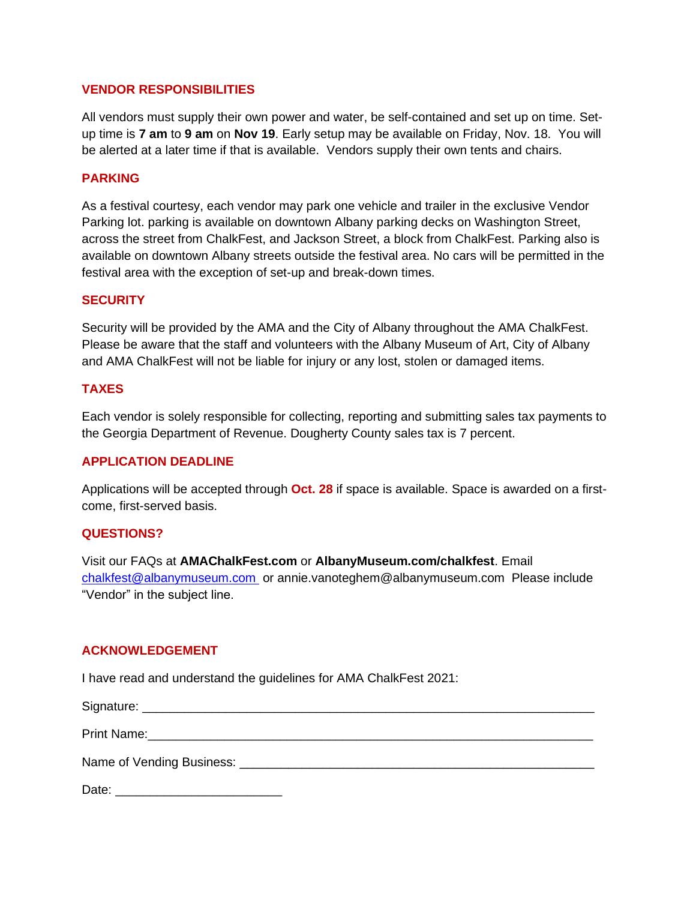#### **VENDOR RESPONSIBILITIES**

All vendors must supply their own power and water, be self-contained and set up on time. Setup time is **7 am** to **9 am** on **Nov 19**. Early setup may be available on Friday, Nov. 18. You will be alerted at a later time if that is available. Vendors supply their own tents and chairs.

#### **PARKING**

As a festival courtesy, each vendor may park one vehicle and trailer in the exclusive Vendor Parking lot. parking is available on downtown Albany parking decks on Washington Street, across the street from ChalkFest, and Jackson Street, a block from ChalkFest. Parking also is available on downtown Albany streets outside the festival area. No cars will be permitted in the festival area with the exception of set-up and break-down times.

#### **SECURITY**

Security will be provided by the AMA and the City of Albany throughout the AMA ChalkFest. Please be aware that the staff and volunteers with the Albany Museum of Art, City of Albany and AMA ChalkFest will not be liable for injury or any lost, stolen or damaged items.

#### **TAXES**

Each vendor is solely responsible for collecting, reporting and submitting sales tax payments to the Georgia Department of Revenue. Dougherty County sales tax is 7 percent.

#### **APPLICATION DEADLINE**

Applications will be accepted through **Oct. 28** if space is available. Space is awarded on a firstcome, first-served basis.

#### **QUESTIONS?**

Visit our FAQs at **AMAChalkFest.com** or **AlbanyMuseum.com/chalkfest**. Email [chalkfest@albanymuseum.com](mailto:chalkfest@albanymuseum.com) or annie.vanoteghem@albanymuseum.com Please include "Vendor" in the subject line.

#### **ACKNOWLEDGEMENT**

I have read and understand the guidelines for AMA ChalkFest 2021:

Signature: \_\_\_\_\_\_\_\_\_\_\_\_\_\_\_\_\_\_\_\_\_\_\_\_\_\_\_\_\_\_\_\_\_\_\_\_\_\_\_\_\_\_\_\_\_\_\_\_\_\_\_\_\_\_\_\_\_\_\_\_\_\_\_\_\_

Print Name:  $\Box$ 

Name of Vending Business: \_\_\_\_\_\_\_\_\_\_\_\_\_\_\_\_\_\_\_\_\_\_\_\_\_\_\_\_\_\_\_\_\_\_\_\_\_\_\_\_\_\_\_\_\_\_\_\_\_\_\_

Date: \_\_\_\_\_\_\_\_\_\_\_\_\_\_\_\_\_\_\_\_\_\_\_\_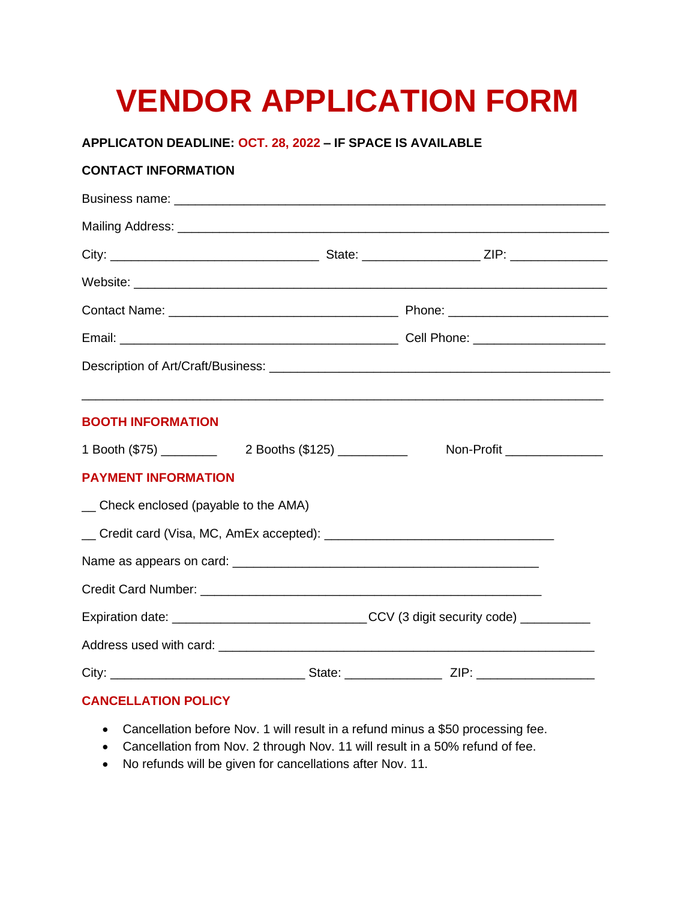# **VENDOR APPLICATION FORM**

#### **APPLICATON DEADLINE: OCT. 28, 2022 – IF SPACE IS AVAILABLE**

### **CONTACT INFORMATION**

| <b>BOOTH INFORMATION</b>              |  | <u> 1989 - Jan James James James James James James James James James James James James James James James James J</u> |  |
|---------------------------------------|--|----------------------------------------------------------------------------------------------------------------------|--|
|                                       |  | Non-Profit ________________                                                                                          |  |
| <b>PAYMENT INFORMATION</b>            |  |                                                                                                                      |  |
| _ Check enclosed (payable to the AMA) |  |                                                                                                                      |  |
|                                       |  |                                                                                                                      |  |
|                                       |  |                                                                                                                      |  |
|                                       |  |                                                                                                                      |  |
|                                       |  | Expiration date: __________________________________CCV (3 digit security code) ___________                           |  |
|                                       |  |                                                                                                                      |  |
|                                       |  |                                                                                                                      |  |
| <b>CANCELLATION POLICY</b>            |  |                                                                                                                      |  |

# • Cancellation before Nov. 1 will result in a refund minus a \$50 processing fee.

- Cancellation from Nov. 2 through Nov. 11 will result in a 50% refund of fee.
- No refunds will be given for cancellations after Nov. 11.